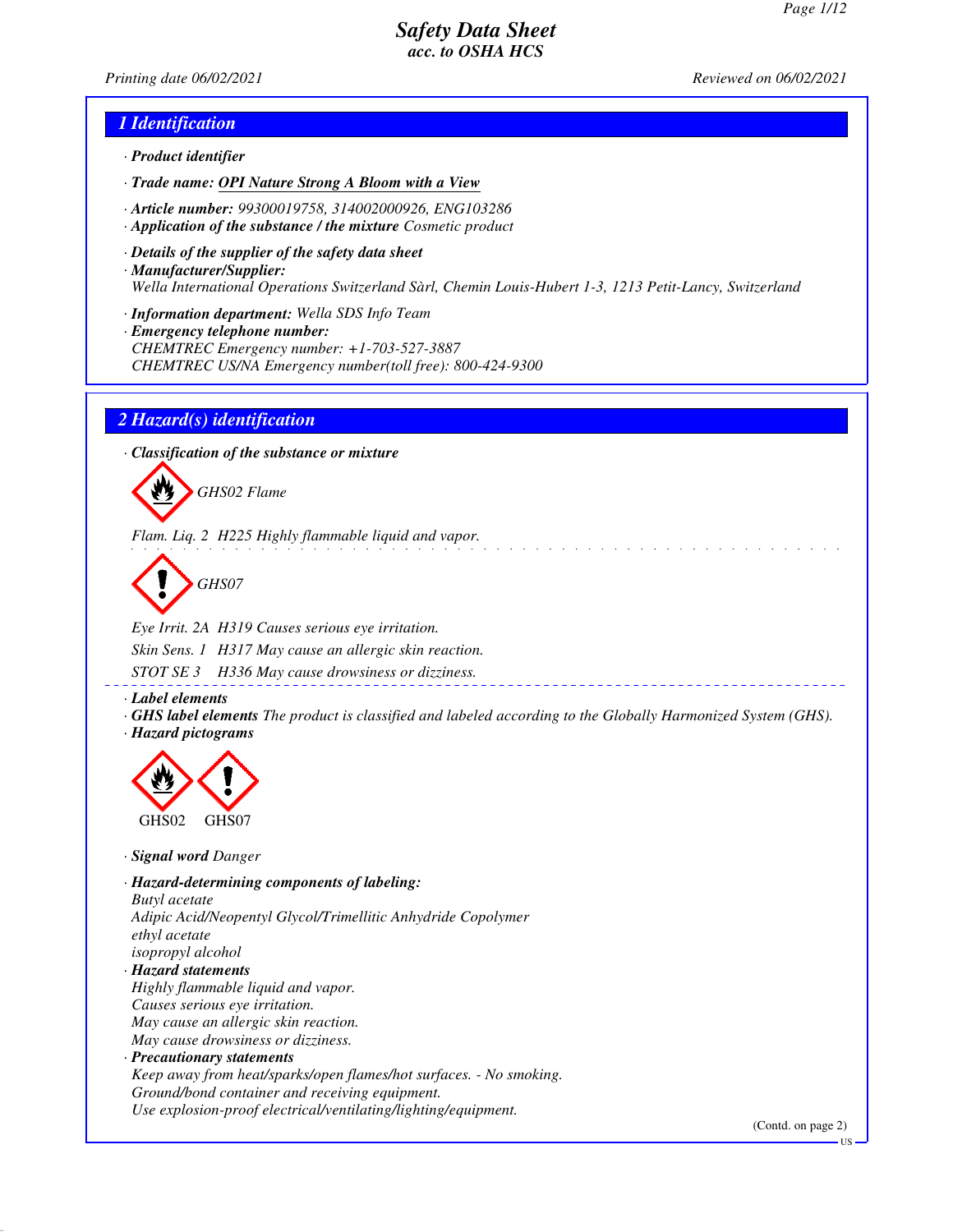*Printing date 06/02/2021 Reviewed on 06/02/2021*

### *1 Identification*

- *· Product identifier*
- *· Trade name: OPI Nature Strong A Bloom with a View*
- *· Article number: 99300019758, 314002000926, ENG103286*
- *· Application of the substance / the mixture Cosmetic product*
- *· Details of the supplier of the safety data sheet · Manufacturer/Supplier: Wella International Operations Switzerland Sàrl, Chemin Louis-Hubert 1-3, 1213 Petit-Lancy, Switzerland*
- *· Information department: Wella SDS Info Team*
- *· Emergency telephone number: CHEMTREC Emergency number: +1-703-527-3887 CHEMTREC US/NA Emergency number(toll free): 800-424-9300*

### *2 Hazard(s) identification*

*· Classification of the substance or mixture*



*Flam. Liq. 2 H225 Highly flammable liquid and vapor.*

*GHS07*

*Eye Irrit. 2A H319 Causes serious eye irritation. Skin Sens. 1 H317 May cause an allergic skin reaction. STOT SE 3 H336 May cause drowsiness or dizziness.*

*· Label elements*

*· GHS label elements The product is classified and labeled according to the Globally Harmonized System (GHS). · Hazard pictograms*



*· Signal word Danger*

*· Hazard-determining components of labeling: Butyl acetate Adipic Acid/Neopentyl Glycol/Trimellitic Anhydride Copolymer ethyl acetate isopropyl alcohol · Hazard statements Highly flammable liquid and vapor. Causes serious eye irritation. May cause an allergic skin reaction. May cause drowsiness or dizziness. · Precautionary statements Keep away from heat/sparks/open flames/hot surfaces. - No smoking. Ground/bond container and receiving equipment. Use explosion-proof electrical/ventilating/lighting/equipment.*

(Contd. on page 2)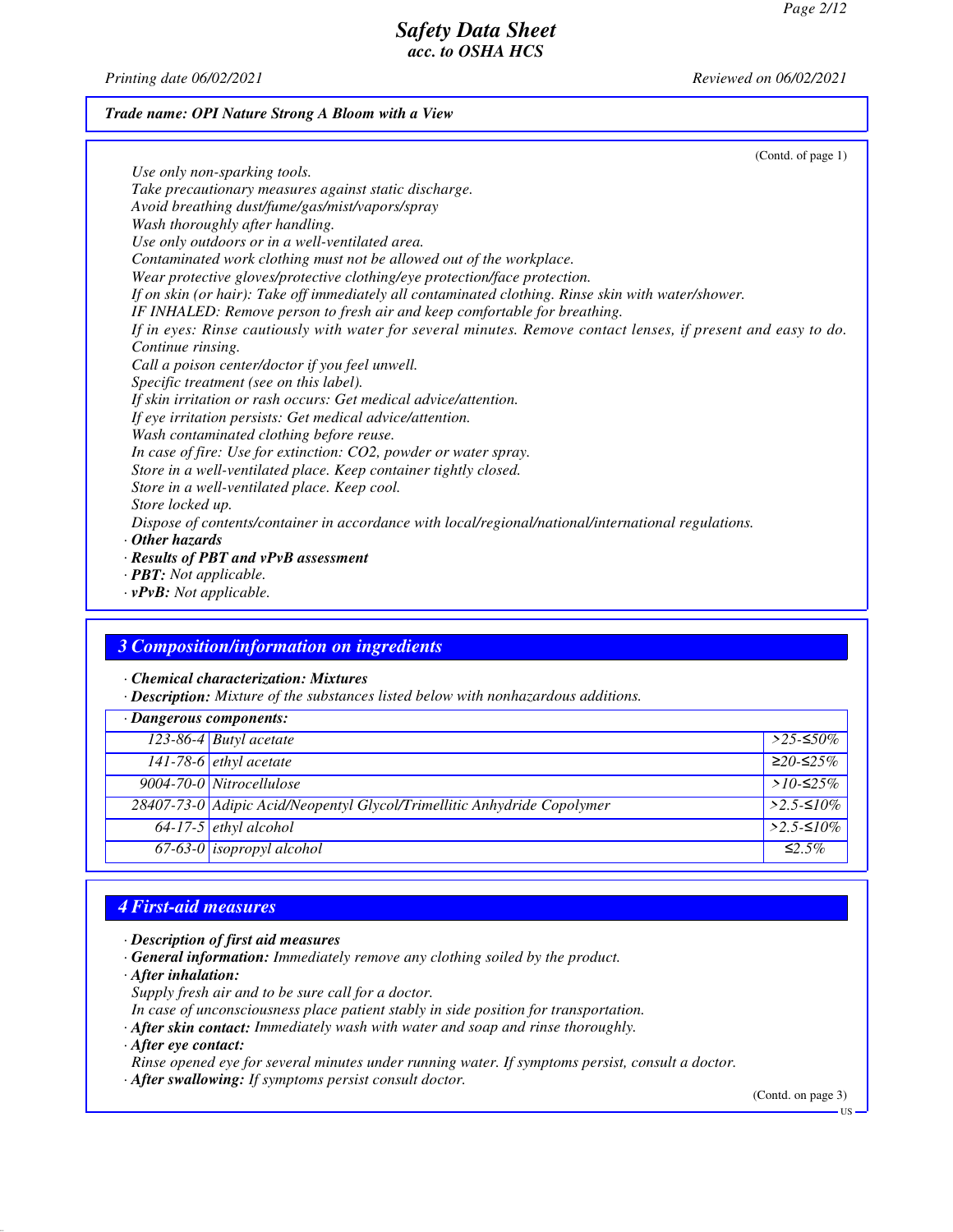*Printing date 06/02/2021 Reviewed on 06/02/2021*

### *Trade name: OPI Nature Strong A Bloom with a View*

(Contd. of page 1) *Use only non-sparking tools. Take precautionary measures against static discharge. Avoid breathing dust/fume/gas/mist/vapors/spray Wash thoroughly after handling. Use only outdoors or in a well-ventilated area. Contaminated work clothing must not be allowed out of the workplace. Wear protective gloves/protective clothing/eye protection/face protection. If on skin (or hair): Take off immediately all contaminated clothing. Rinse skin with water/shower. IF INHALED: Remove person to fresh air and keep comfortable for breathing. If in eyes: Rinse cautiously with water for several minutes. Remove contact lenses, if present and easy to do. Continue rinsing. Call a poison center/doctor if you feel unwell. Specific treatment (see on this label). If skin irritation or rash occurs: Get medical advice/attention. If eye irritation persists: Get medical advice/attention. Wash contaminated clothing before reuse. In case of fire: Use for extinction: CO2, powder or water spray. Store in a well-ventilated place. Keep container tightly closed. Store in a well-ventilated place. Keep cool. Store locked up. Dispose of contents/container in accordance with local/regional/national/international regulations. · Other hazards · Results of PBT and vPvB assessment · PBT: Not applicable.*

*· vPvB: Not applicable.*

### *3 Composition/information on ingredients*

*· Chemical characterization: Mixtures*

*· Description: Mixture of the substances listed below with nonhazardous additions.*

| $\cdot$ Dangerous components: |                                                                         |              |
|-------------------------------|-------------------------------------------------------------------------|--------------|
|                               | $\overline{123-86-4}$ Butyl acetate                                     | $>$ 25-≤50%  |
|                               | $141-78-6$ ethyl acetate                                                | $≥20-≤25%$   |
|                               | 9004-70-0 Nitrocellulose                                                | $>10-525\%$  |
|                               | 28407-73-0 Adipic Acid/Neopentyl Glycol/Trimellitic Anhydride Copolymer | $>2.5-10\%$  |
|                               | $64-17-5$ ethyl alcohol                                                 | $>2.5-10\%$  |
|                               | $67-63-0$ isopropyl alcohol                                             | $\leq 2.5\%$ |

# *4 First-aid measures*

- *· Description of first aid measures*
- *· General information: Immediately remove any clothing soiled by the product.*
- *· After inhalation:*
- *Supply fresh air and to be sure call for a doctor.*
- *In case of unconsciousness place patient stably in side position for transportation.*
- *· After skin contact: Immediately wash with water and soap and rinse thoroughly.*
- *· After eye contact:*

*Rinse opened eye for several minutes under running water. If symptoms persist, consult a doctor.*

*· After swallowing: If symptoms persist consult doctor.*

(Contd. on page 3)

US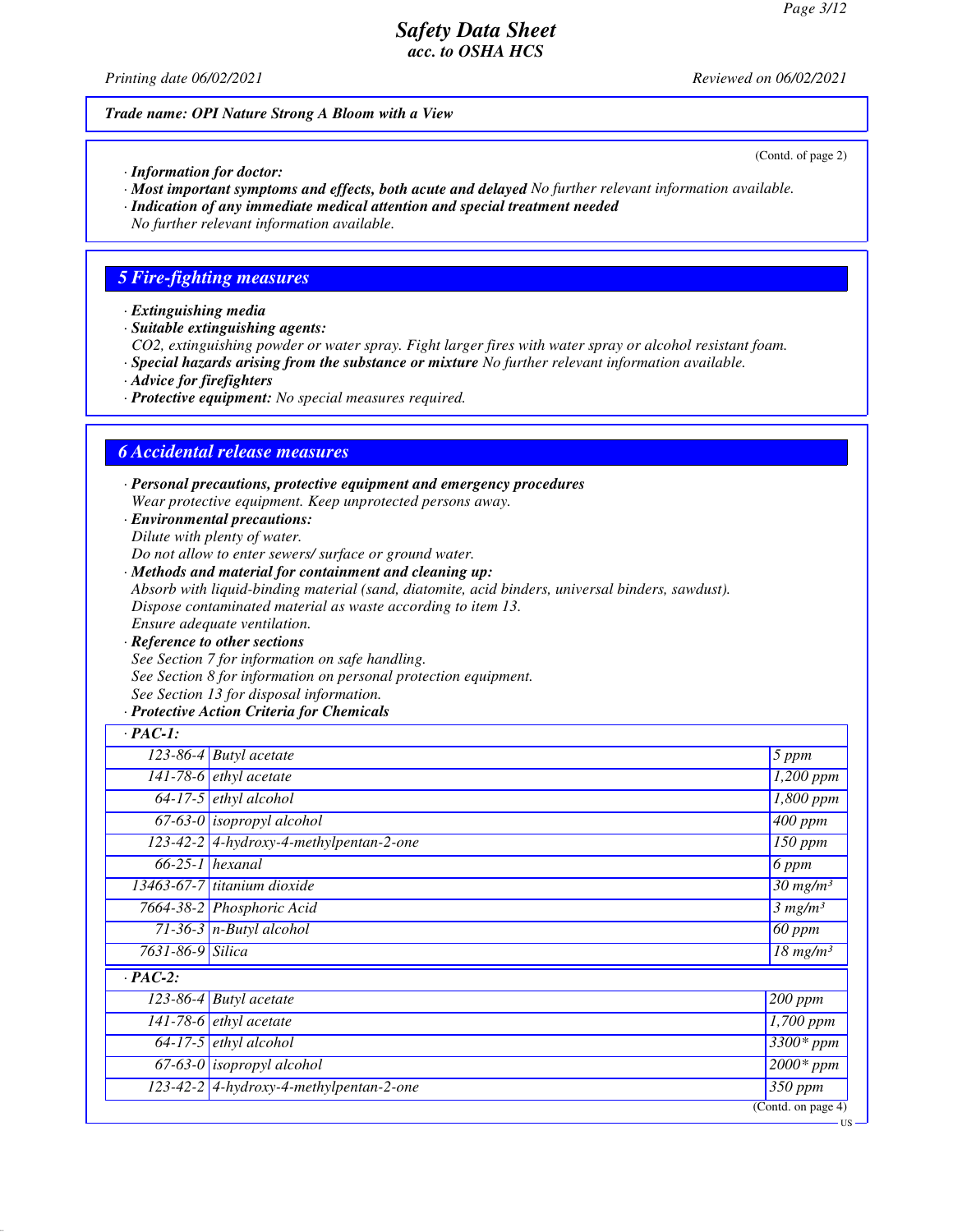*Printing date 06/02/2021 Reviewed on 06/02/2021*

### *Trade name: OPI Nature Strong A Bloom with a View*

*· Information for doctor:*

- *· Most important symptoms and effects, both acute and delayed No further relevant information available.*
- *· Indication of any immediate medical attention and special treatment needed*

*No further relevant information available.*

## *5 Fire-fighting measures*

- *· Extinguishing media*
- *· Suitable extinguishing agents:*

*CO2, extinguishing powder or water spray. Fight larger fires with water spray or alcohol resistant foam.*

- *· Special hazards arising from the substance or mixture No further relevant information available.*
- *· Advice for firefighters*
- *· Protective equipment: No special measures required.*

## *6 Accidental release measures*

*· Personal precautions, protective equipment and emergency procedures Wear protective equipment. Keep unprotected persons away.*

*· Environmental precautions: Dilute with plenty of water.*

*Do not allow to enter sewers/ surface or ground water.*

- *· Methods and material for containment and cleaning up: Absorb with liquid-binding material (sand, diatomite, acid binders, universal binders, sawdust). Dispose contaminated material as waste according to item 13. Ensure adequate ventilation.*
- *· Reference to other sections See Section 7 for information on safe handling. See Section 8 for information on personal protection equipment. See Section 13 for disposal information.*

### *· Protective Action Criteria for Chemicals*

| $\cdot$ PAC-1:   |                                           |                                   |
|------------------|-------------------------------------------|-----------------------------------|
|                  | $123-86-4$ Butyl acetate                  | $5$ ppm                           |
|                  | 141-78-6 $ethyl$ acetate                  | $\overline{1,200}$ ppm            |
|                  | $64-17-5$ ethyl alcohol                   | 1,800 ppm                         |
|                  | $67-63-0$ isopropyl alcohol               | $\overline{400}$ ppm              |
|                  | 123-42-2 4-hydroxy-4-methylpentan-2-one   | $150$ ppm                         |
|                  | $\overline{66-25-1}$ hexanal              | 6 ppm                             |
|                  | 13463-67-7 titanium dioxide               | $30$ mg/m <sup>3</sup>            |
|                  | 7664-38-2 Phosphoric Acid                 | 3 mg/m <sup>3</sup>               |
|                  | $71-36-3$ n-Butyl alcohol                 | 60 ppm                            |
| 7631-86-9 Silica |                                           | $\overline{18}$ mg/m <sup>3</sup> |
| $\cdot$ PAC-2:   |                                           |                                   |
|                  | $123-86-4$ Butyl acetate                  | $200$ ppm                         |
|                  | 141-78-6 $ethyl$ acetate                  | $\overline{1}$ ,700 ppm           |
|                  | $64-17-5$ ethyl alcohol                   | $\overline{3300}$ * ppm           |
|                  | $67-63-0$ isopropyl alcohol               | $2000*$ ppm                       |
|                  | $123-42-2$ 4-hydroxy-4-methylpentan-2-one | $350$ ppm                         |
|                  |                                           | (Contd. on page $\overline{4}$ )  |

(Contd. of page 2)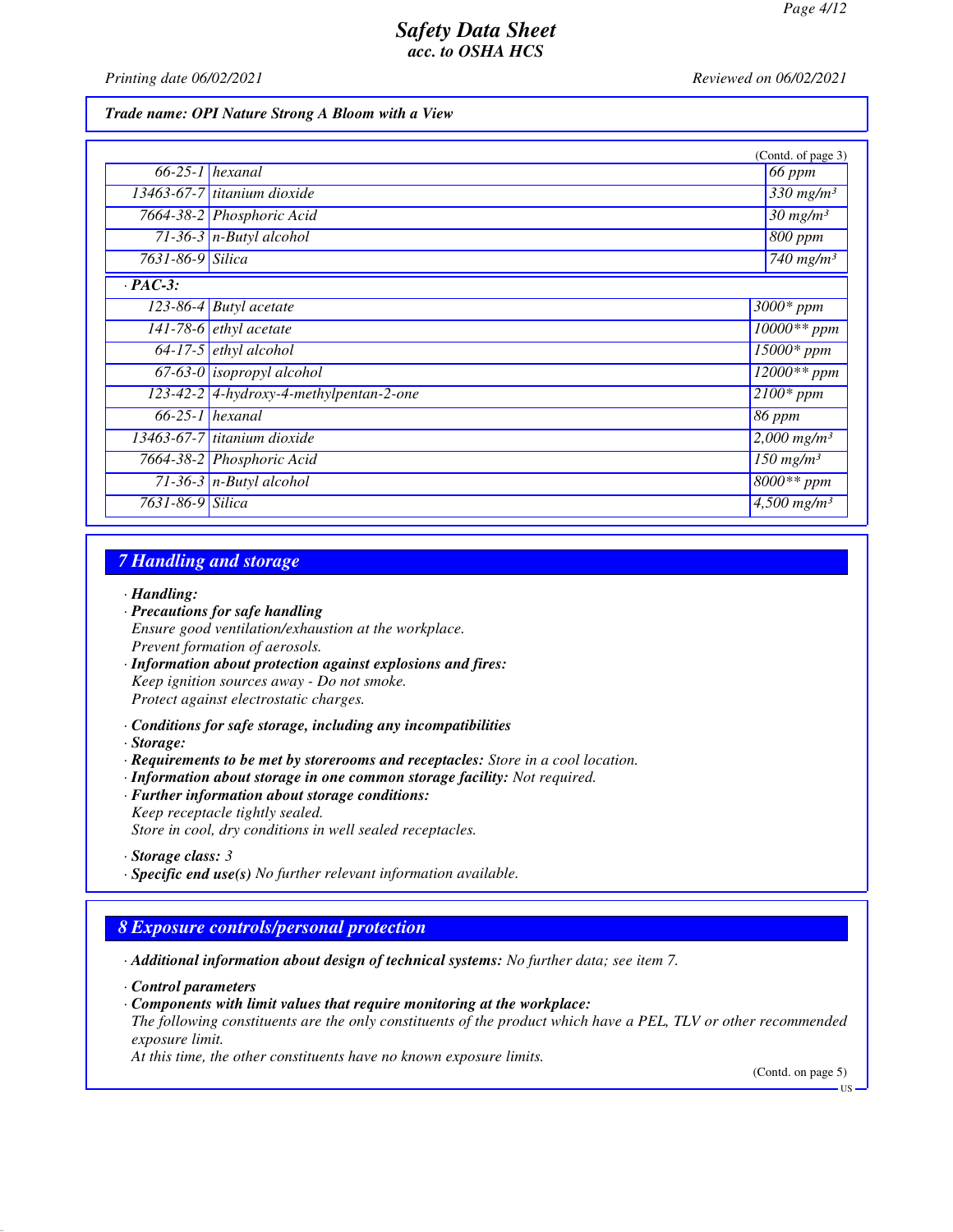*Printing date 06/02/2021 Reviewed on 06/02/2021*

### *Trade name: OPI Nature Strong A Bloom with a View*

|                  |                                         | (Contd. of page 3)                 |
|------------------|-----------------------------------------|------------------------------------|
|                  | $66-25-1$ hexanal                       | 66 ppm                             |
|                  | 13463-67-7 titanium dioxide             | $\overline{3}30$ mg/m <sup>3</sup> |
|                  | 7664-38-2 Phosphoric Acid               | $30$ mg/m <sup>3</sup>             |
|                  | 71-36-3 $n$ -Butyl alcohol              | 800 ppm                            |
| 7631-86-9 Silica |                                         | $740$ mg/m <sup>3</sup>            |
| $\cdot$ PAC-3:   |                                         |                                    |
|                  | $\overline{123-86-4}$ Butyl acetate     | 3000* ppm                          |
|                  | $141-78-6$ ethyl acetate                | $10000**$ ppm                      |
|                  | $64-17-5$ ethyl alcohol                 | $\overline{15000}$ * ppm           |
|                  | $67-63-0$ isopropyl alcohol             | $12000**$ ppm                      |
|                  | 123-42-2 4-hydroxy-4-methylpentan-2-one | $\sqrt{2100}$ * ppm                |
|                  | $66-25-1$ hexanal                       | 86 ppm                             |
|                  | 13463-67-7 titanium dioxide             | $2,000$ mg/m <sup>3</sup>          |
|                  | 7664-38-2 Phosphoric Acid               | $\frac{150 \text{ mg}}{m}$         |
|                  | 71-36-3 $n$ -Butyl alcohol              | $8000**$ ppm                       |
| 7631-86-9 Silica |                                         | $4,500$ mg/m <sup>3</sup>          |

### *7 Handling and storage*

#### *· Handling:*

- *· Precautions for safe handling Ensure good ventilation/exhaustion at the workplace. Prevent formation of aerosols.*
- *· Information about protection against explosions and fires: Keep ignition sources away - Do not smoke. Protect against electrostatic charges.*
- *· Conditions for safe storage, including any incompatibilities*
- *· Storage:*
- *· Requirements to be met by storerooms and receptacles: Store in a cool location.*
- *· Information about storage in one common storage facility: Not required. · Further information about storage conditions: Keep receptacle tightly sealed.*

*Store in cool, dry conditions in well sealed receptacles.*

*· Specific end use(s) No further relevant information available.*

# *8 Exposure controls/personal protection*

*· Additional information about design of technical systems: No further data; see item 7.*

*· Control parameters*

- *· Components with limit values that require monitoring at the workplace:*
- *The following constituents are the only constituents of the product which have a PEL, TLV or other recommended exposure limit.*

*At this time, the other constituents have no known exposure limits.*

(Contd. on page 5)

*<sup>·</sup> Storage class: 3*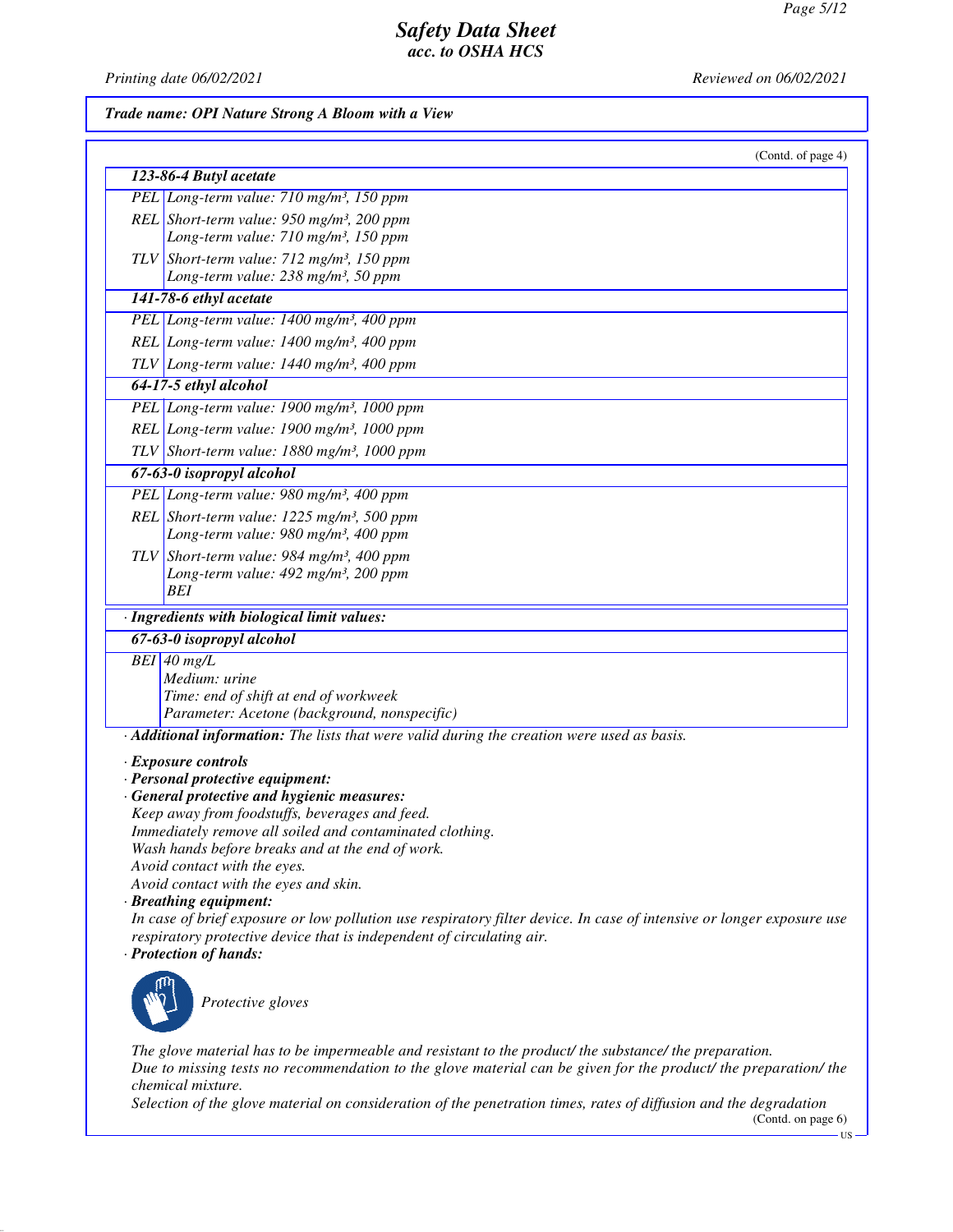*Printing date 06/02/2021 Reviewed on 06/02/2021*

## *Trade name: OPI Nature Strong A Bloom with a View*

| (Contd. of page 4)                                                                                                    |
|-----------------------------------------------------------------------------------------------------------------------|
| 123-86-4 Butyl acetate                                                                                                |
| PEL Long-term value: 710 mg/m <sup>3</sup> , 150 ppm                                                                  |
| REL Short-term value: $950$ mg/m <sup>3</sup> , 200 ppm                                                               |
| Long-term value: 710 mg/m <sup>3</sup> , 150 ppm                                                                      |
| TLV Short-term value: $712$ mg/m <sup>3</sup> , 150 ppm                                                               |
| Long-term value: 238 mg/m <sup>3</sup> , 50 ppm                                                                       |
| 141-78-6 ethyl acetate                                                                                                |
| PEL Long-term value: 1400 mg/m <sup>3</sup> , 400 ppm                                                                 |
| REL Long-term value: 1400 mg/m <sup>3</sup> , 400 ppm                                                                 |
| TLV Long-term value: $1440$ mg/m <sup>3</sup> , 400 ppm                                                               |
| 64-17-5 ethyl alcohol                                                                                                 |
| PEL Long-term value: $1900$ mg/m <sup>3</sup> , $1000$ ppm                                                            |
| REL Long-term value: $1900$ mg/m <sup>3</sup> , $1000$ ppm                                                            |
| TLV Short-term value: $1880$ mg/m <sup>3</sup> , 1000 ppm                                                             |
| 67-63-0 isopropyl alcohol                                                                                             |
| PEL Long-term value: 980 mg/m <sup>3</sup> , 400 ppm                                                                  |
| REL Short-term value: 1225 mg/m <sup>3</sup> , 500 ppm                                                                |
| Long-term value: 980 mg/m <sup>3</sup> , 400 ppm                                                                      |
| TLV Short-term value: 984 mg/m <sup>3</sup> , 400 ppm                                                                 |
| Long-term value: 492 mg/m <sup>3</sup> , 200 ppm                                                                      |
| BEI                                                                                                                   |
| · Ingredients with biological limit values:                                                                           |
| 67-63-0 isopropyl alcohol                                                                                             |
| $BEI$ 40 mg/L                                                                                                         |
| Medium: urine<br>Time: end of shift at end of workweek                                                                |
| Parameter: Acetone (background, nonspecific)                                                                          |
| · Additional information: The lists that were valid during the creation were used as basis.                           |
| · Exposure controls                                                                                                   |
| · Personal protective equipment:                                                                                      |
| · General protective and hygienic measures:                                                                           |
| Keep away from foodstuffs, beverages and feed.                                                                        |
| Immediately remove all soiled and contaminated clothing.                                                              |
| Wash hands before breaks and at the end of work.                                                                      |
| Avoid contact with the eyes.<br>Avoid contact with the eyes and skin.                                                 |
| · Breathing equipment:                                                                                                |
| In case of brief exposure or low pollution use respiratory filter device. In case of intensive or longer exposure use |
| respiratory protective device that is independent of circulating air.                                                 |
| · Protection of hands:                                                                                                |
| Protective gloves                                                                                                     |

*The glove material has to be impermeable and resistant to the product/ the substance/ the preparation. Due to missing tests no recommendation to the glove material can be given for the product/ the preparation/ the chemical mixture.*

*Selection of the glove material on consideration of the penetration times, rates of diffusion and the degradation*

(Contd. on page 6)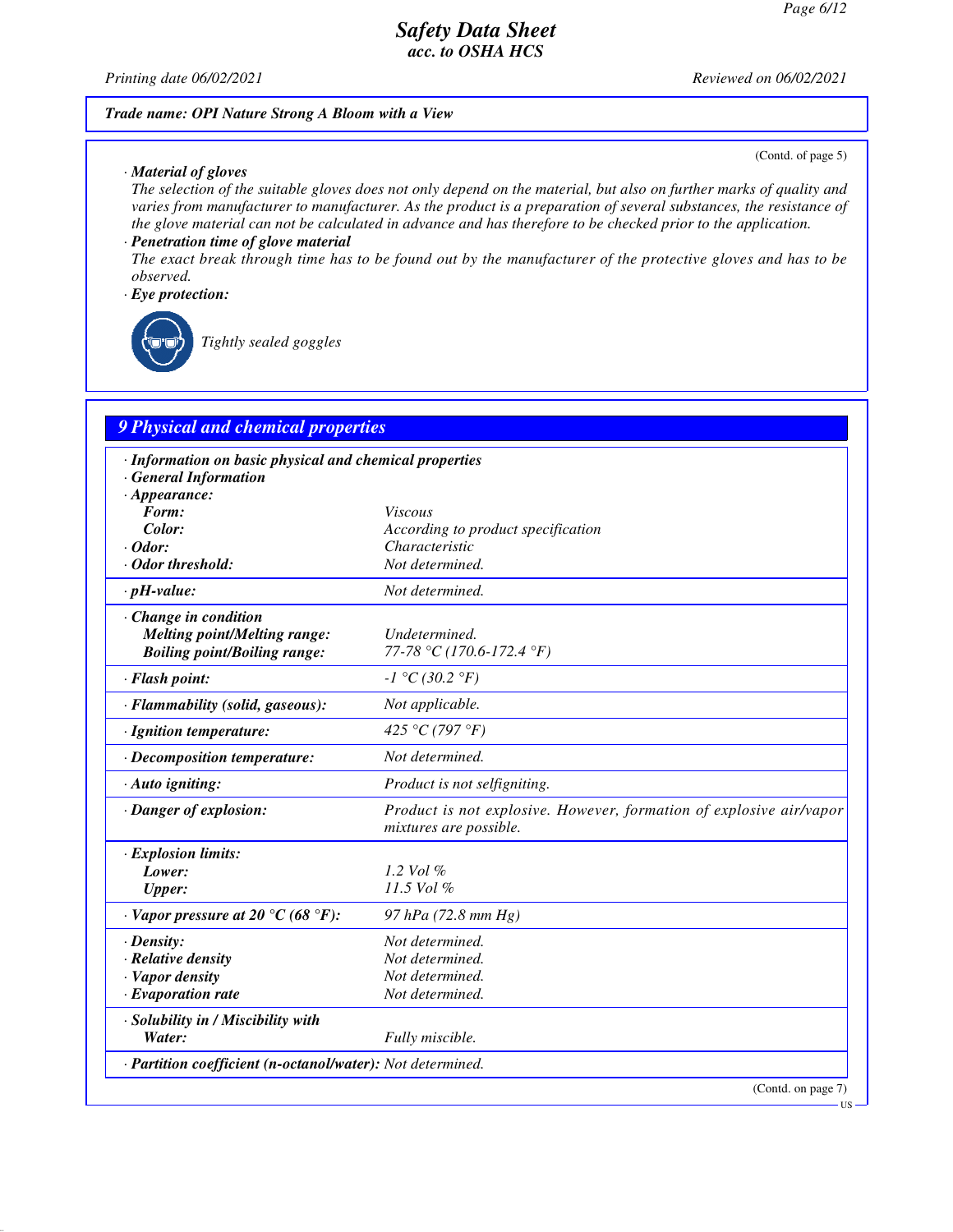*Printing date 06/02/2021 Reviewed on 06/02/2021*

### *Trade name: OPI Nature Strong A Bloom with a View*

#### *· Material of gloves*

(Contd. of page 5)

*The selection of the suitable gloves does not only depend on the material, but also on further marks of quality and varies from manufacturer to manufacturer. As the product is a preparation of several substances, the resistance of the glove material can not be calculated in advance and has therefore to be checked prior to the application.*

#### *· Penetration time of glove material*

*The exact break through time has to be found out by the manufacturer of the protective gloves and has to be observed.*

### *· Eye protection:*

*Tightly sealed goggles*

# *9 Physical and chemical properties*

| · Information on basic physical and chemical properties<br><b>General Information</b> |                                                                                               |
|---------------------------------------------------------------------------------------|-----------------------------------------------------------------------------------------------|
| $\cdot$ Appearance:<br>Form:                                                          | <i>Viscous</i>                                                                                |
| Color:                                                                                | According to product specification                                                            |
| $\cdot$ Odor:                                                                         | Characteristic                                                                                |
| Odor threshold:                                                                       | Not determined.                                                                               |
| $\cdot$ pH-value:                                                                     | Not determined.                                                                               |
| Change in condition                                                                   |                                                                                               |
| <b>Melting point/Melting range:</b>                                                   | Undetermined.                                                                                 |
| <b>Boiling point/Boiling range:</b>                                                   | 77-78 °C (170.6-172.4 °F)                                                                     |
| · Flash point:                                                                        | $-I °C (30.2 °F)$                                                                             |
| · Flammability (solid, gaseous):                                                      | Not applicable.                                                                               |
| · Ignition temperature:                                                               | 425 °C (797 °F)                                                                               |
| · Decomposition temperature:                                                          | Not determined.                                                                               |
| · Auto igniting:                                                                      | Product is not selfigniting.                                                                  |
| · Danger of explosion:                                                                | Product is not explosive. However, formation of explosive air/vapor<br>mixtures are possible. |
| · Explosion limits:                                                                   |                                                                                               |
| Lower:                                                                                | 1.2 Vol $\%$                                                                                  |
| <b>Upper:</b>                                                                         | 11.5 Vol %                                                                                    |
| $\cdot$ Vapor pressure at 20 °C (68 °F):                                              | 97 hPa (72.8 mm Hg)                                                                           |
| $\cdot$ Density:                                                                      | Not determined.                                                                               |
| · Relative density                                                                    | Not determined.                                                                               |
| · Vapor density                                                                       | Not determined.                                                                               |
| $\cdot$ Evaporation rate                                                              | Not determined.                                                                               |
| · Solubility in / Miscibility with                                                    |                                                                                               |
| Water:                                                                                | Fully miscible.                                                                               |
| · Partition coefficient (n-octanol/water): Not determined.                            |                                                                                               |
|                                                                                       | (Contd. on page 7)                                                                            |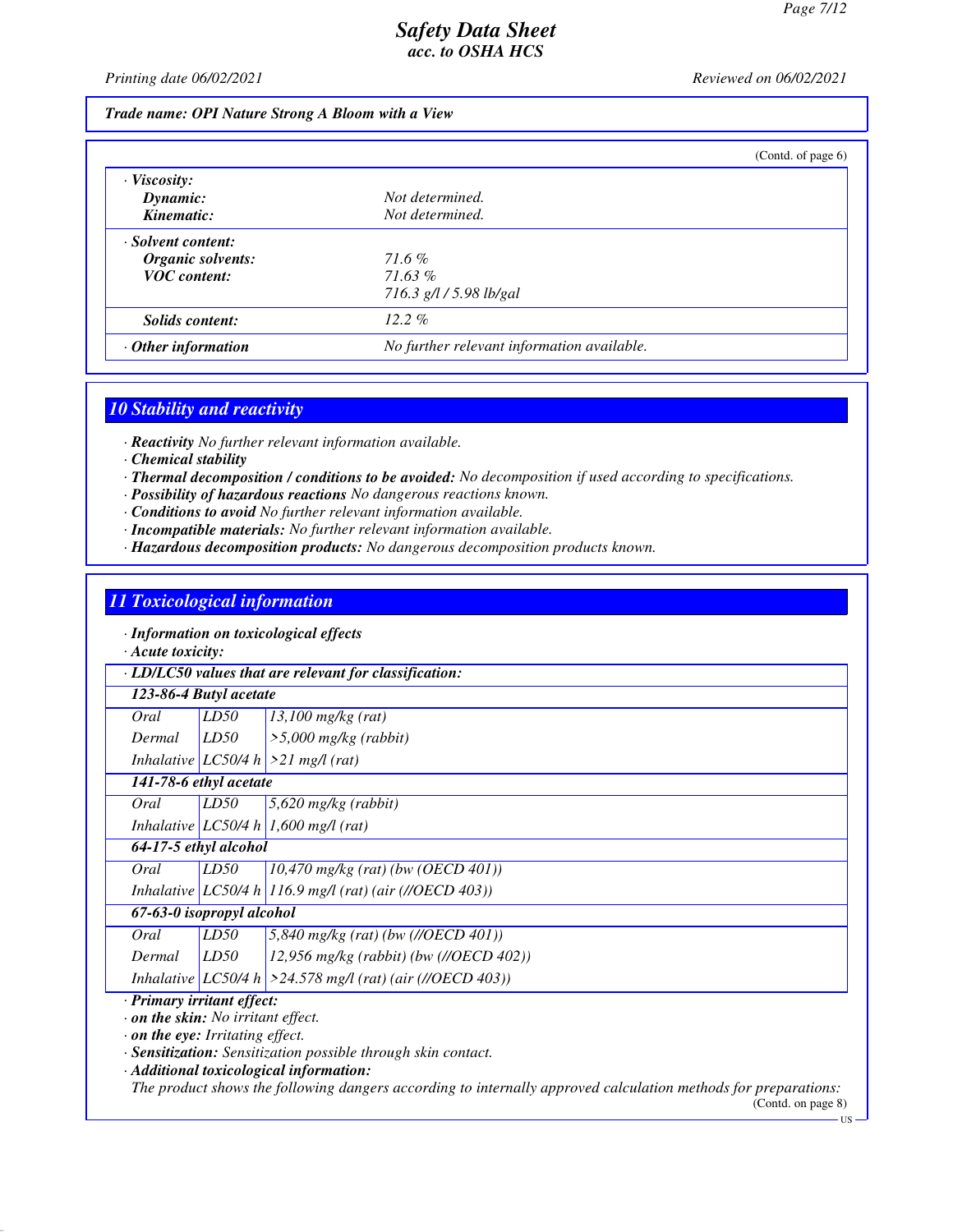*Printing date 06/02/2021 Reviewed on 06/02/2021*

#### *Trade name: OPI Nature Strong A Bloom with a View*

|                           | (Contd. of page $6$ )                      |  |
|---------------------------|--------------------------------------------|--|
| $\cdot$ Viscosity:        |                                            |  |
| Dynamic:                  | Not determined.                            |  |
| Kinematic:                | Not determined.                            |  |
| Solvent content:          |                                            |  |
| Organic solvents:         | 71.6%                                      |  |
| <b>VOC</b> content:       | 71.63%                                     |  |
|                           | 716.3 g/l / 5.98 lb/gal                    |  |
| Solids content:           | $12.2\%$                                   |  |
| $\cdot$ Other information | No further relevant information available. |  |

# *10 Stability and reactivity*

*· Reactivity No further relevant information available.*

- *· Chemical stability*
- *· Thermal decomposition / conditions to be avoided: No decomposition if used according to specifications.*
- *· Possibility of hazardous reactions No dangerous reactions known.*
- *· Conditions to avoid No further relevant information available.*
- *· Incompatible materials: No further relevant information available.*
- *· Hazardous decomposition products: No dangerous decomposition products known.*

### *11 Toxicological information*

*· Information on toxicological effects*

*· Acute toxicity:*

*· LD/LC50 values that are relevant for classification:*

| 123-86-4 Butyl acetate |  |  |
|------------------------|--|--|
|------------------------|--|--|

| Oral   | LD50 | $13,100$ mg/kg (rat)                  |
|--------|------|---------------------------------------|
| Dermal | LD50 | $\frac{1}{5,000}$ mg/kg (rabbit)      |
|        |      | Inhalative $LC50/4 h$ > 21 mg/l (rat) |

*141-78-6 ethyl acetate*

*Oral LD50 5,620 mg/kg (rabbit)*

*Inhalative LC50/4 h 1,600 mg/l (rat)*

*64-17-5 ethyl alcohol*

*Oral LD50 10,470 mg/kg (rat) (bw (OECD 401)) Inhalative LC50/4 h 116.9 mg/l (rat) (air (//OECD 403))*

### *67-63-0 isopropyl alcohol*

| Oral   | LD50 | $5,840$ mg/kg (rat) (bw (//OECD 401))                          |
|--------|------|----------------------------------------------------------------|
| Dermal | LD50 | $12,956$ mg/kg (rabbit) (bw (//OECD 402))                      |
|        |      | Inhalative $ LC50/4 h  > 24.578$ mg/l (rat) (air (//OECD 403)) |

#### *· Primary irritant effect:*

*· on the skin: No irritant effect.*

*· on the eye: Irritating effect.*

*· Sensitization: Sensitization possible through skin contact.*

*· Additional toxicological information:*

*The product shows the following dangers according to internally approved calculation methods for preparations:*

 $U<sub>1</sub>$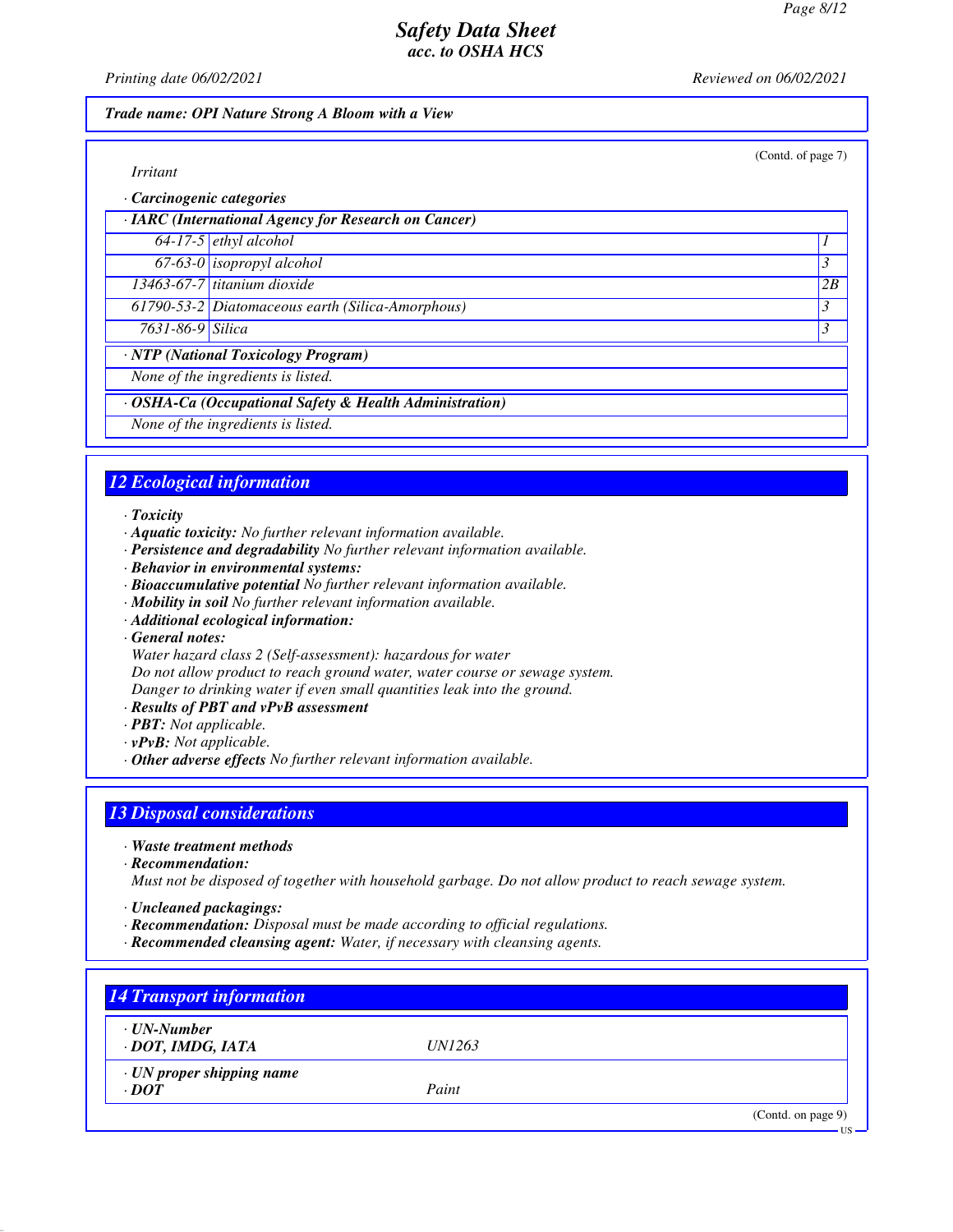(Contd. of page 7)

## *Safety Data Sheet acc. to OSHA HCS*

*Printing date 06/02/2021 Reviewed on 06/02/2021*

### *Trade name: OPI Nature Strong A Bloom with a View*

*· Carcinogenic categories*

|                        | · IARC (International Agency for Research on Cancer)    |                          |
|------------------------|---------------------------------------------------------|--------------------------|
|                        | $64-17-5$ ethyl alcohol                                 |                          |
|                        | 67-63-0 isopropyl alcohol                               |                          |
|                        | $13463-67-7$ titanium dioxide                           | 2B                       |
|                        | 61790-53-2 Diatomaceous earth (Silica-Amorphous)        |                          |
| $7631 - 86 - 9$ Silica |                                                         | $\overline{\mathcal{E}}$ |
|                        | · NTP (National Toxicology Program)                     |                          |
|                        | None of the ingredients is listed.                      |                          |
|                        | · OSHA-Ca (Occupational Safety & Health Administration) |                          |
|                        | None of the ingredients is listed.                      |                          |

## *12 Ecological information*

*· Toxicity*

- *· Aquatic toxicity: No further relevant information available.*
- *· Persistence and degradability No further relevant information available.*
- *· Behavior in environmental systems:*
- *· Bioaccumulative potential No further relevant information available.*
- *· Mobility in soil No further relevant information available.*
- *· Additional ecological information:*

*· General notes:*

*Water hazard class 2 (Self-assessment): hazardous for water*

*Do not allow product to reach ground water, water course or sewage system.*

*Danger to drinking water if even small quantities leak into the ground.*

- *· Results of PBT and vPvB assessment*
- *· PBT: Not applicable.*
- *· vPvB: Not applicable.*
- *· Other adverse effects No further relevant information available.*

## *13 Disposal considerations*

- *· Waste treatment methods*
- *· Recommendation:*

*Must not be disposed of together with household garbage. Do not allow product to reach sewage system.*

- *· Uncleaned packagings:*
- *· Recommendation: Disposal must be made according to official regulations.*
- *· Recommended cleansing agent: Water, if necessary with cleansing agents.*

| $\cdot$ UN-Number               |               |  |
|---------------------------------|---------------|--|
| · DOT, IMDG, IATA               | <i>UN1263</i> |  |
| $\cdot$ UN proper shipping name |               |  |
| $\cdot$ <i>DOT</i>              | Paint         |  |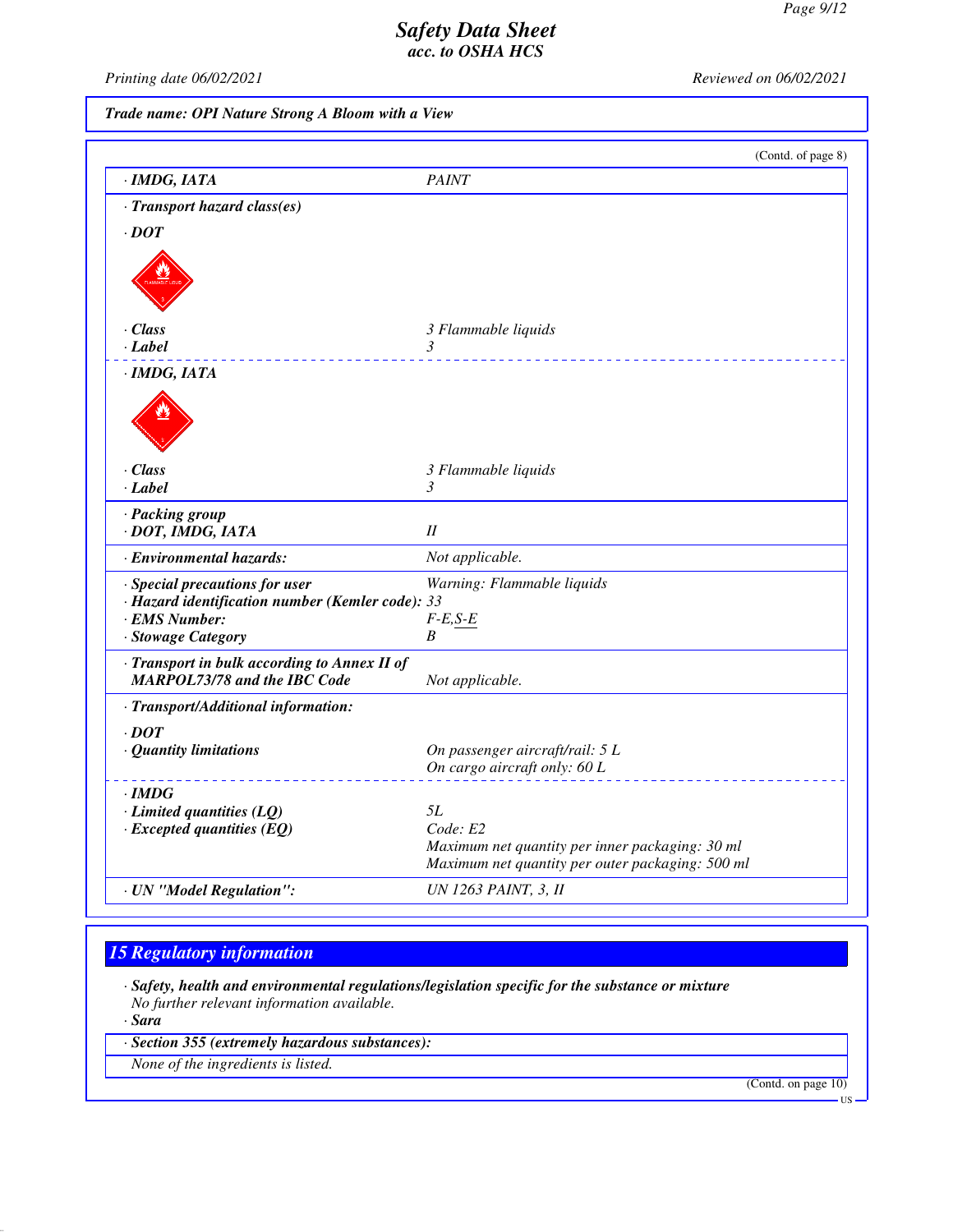*Printing date 06/02/2021 Reviewed on 06/02/2021*

# *Trade name: OPI Nature Strong A Bloom with a View*

|                                                                                    | (Contd. of page 8)                                                                                  |
|------------------------------------------------------------------------------------|-----------------------------------------------------------------------------------------------------|
| · IMDG, IATA                                                                       | <b>PAINT</b>                                                                                        |
| · Transport hazard class(es)                                                       |                                                                                                     |
| $\cdot$ DOT                                                                        |                                                                                                     |
|                                                                                    |                                                                                                     |
| $\cdot$ Class                                                                      | 3 Flammable liquids                                                                                 |
| · Label                                                                            | $\mathfrak{Z}$<br>2 2 2 2 2 2 2 2 2                                                                 |
| $\cdot$ IMDG, IATA                                                                 |                                                                                                     |
|                                                                                    |                                                                                                     |
| · Class                                                                            | 3 Flammable liquids                                                                                 |
| $\cdot$ Label                                                                      | 3                                                                                                   |
| · Packing group                                                                    | II                                                                                                  |
| · DOT, IMDG, IATA                                                                  |                                                                                                     |
| · Environmental hazards:                                                           | Not applicable.                                                                                     |
| · Special precautions for user<br>· Hazard identification number (Kemler code): 33 | Warning: Flammable liquids                                                                          |
| · EMS Number:                                                                      | $F$ - $E$ , $S$ - $E$                                                                               |
| · Stowage Category                                                                 | B                                                                                                   |
| · Transport in bulk according to Annex II of                                       |                                                                                                     |
| <b>MARPOL73/78 and the IBC Code</b>                                                | Not applicable.                                                                                     |
| · Transport/Additional information:                                                |                                                                                                     |
| $\cdot$ DOT                                                                        |                                                                                                     |
| · Quantity limitations                                                             | On passenger aircraft/rail: 5 L                                                                     |
|                                                                                    | On cargo aircraft only: 60 L                                                                        |
| $\cdot$ IMDG                                                                       |                                                                                                     |
| $\cdot$ Limited quantities (LQ)                                                    | 5L                                                                                                  |
| $\cdot$ Excepted quantities (EQ)                                                   | Code: E2                                                                                            |
|                                                                                    | Maximum net quantity per inner packaging: 30 ml<br>Maximum net quantity per outer packaging: 500 ml |
| · UN "Model Regulation":                                                           | UN 1263 PAINT, 3, II                                                                                |
|                                                                                    |                                                                                                     |

# *15 Regulatory information*

*· Safety, health and environmental regulations/legislation specific for the substance or mixture No further relevant information available.*

*· Sara*

*· Section 355 (extremely hazardous substances):*

*None of the ingredients is listed.*

(Contd. on page 10)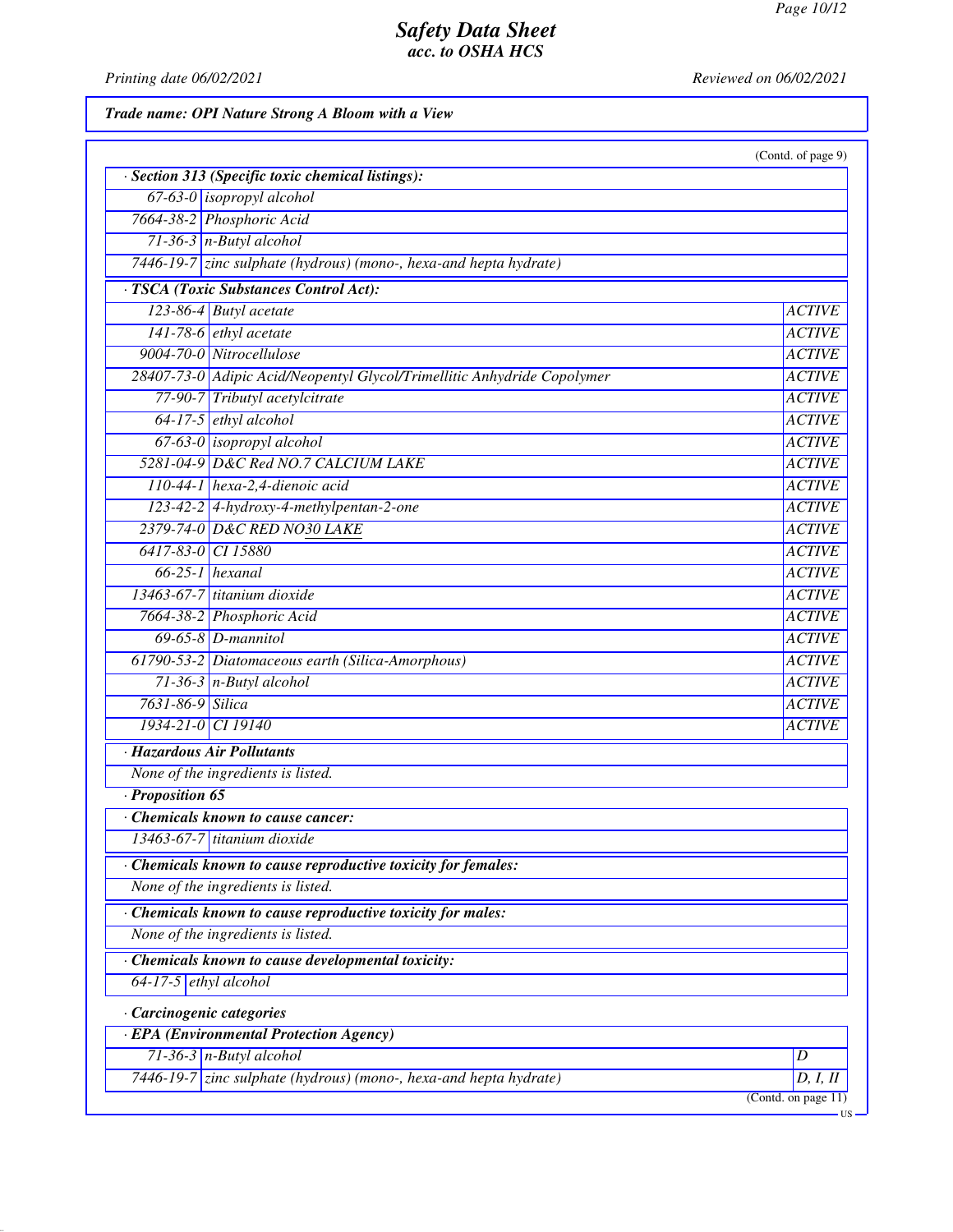*Printing date 06/02/2021 Reviewed on 06/02/2021*

# *Trade name: OPI Nature Strong A Bloom with a View*

|                                                                         | (Contd. of page 9) |
|-------------------------------------------------------------------------|--------------------|
| · Section 313 (Specific toxic chemical listings):                       |                    |
| 67-63-0 <i>isopropyl alcohol</i>                                        |                    |
| 7664-38-2 Phosphoric Acid                                               |                    |
| $71-36-3$ n-Butyl alcohol                                               |                    |
| $7446-19-7$ zinc sulphate (hydrous) (mono-, hexa-and hepta hydrate)     |                    |
| · TSCA (Toxic Substances Control Act):                                  |                    |
| 123-86-4 Butyl acetate                                                  | <b>ACTIVE</b>      |
| 141-78-6 ethyl acetate                                                  | <b>ACTIVE</b>      |
| 9004-70-0 Nitrocellulose                                                | <b>ACTIVE</b>      |
| 28407-73-0 Adipic Acid/Neopentyl Glycol/Trimellitic Anhydride Copolymer | <b>ACTIVE</b>      |
| 77-90-7 Tributyl acetylcitrate                                          | <b>ACTIVE</b>      |
| $64-17-5$ ethyl alcohol                                                 | <b>ACTIVE</b>      |
| $67-63-0$ isopropyl alcohol                                             | <b>ACTIVE</b>      |
| 5281-04-9 D&C Red NO.7 CALCIUM LAKE                                     | <b>ACTIVE</b>      |
| $110-44-1$ hexa-2,4-dienoic acid                                        | <b>ACTIVE</b>      |
| 123-42-2 4-hydroxy-4-methylpentan-2-one                                 | <b>ACTIVE</b>      |
| 2379-74-0 D&C RED NO30 LAKE                                             | <b>ACTIVE</b>      |
| 6417-83-0 CI 15880                                                      | <b>ACTIVE</b>      |
| $66-25-1$ hexanal                                                       | <b>ACTIVE</b>      |
| 13463-67-7 titanium dioxide                                             | <b>ACTIVE</b>      |
| 7664-38-2 Phosphoric Acid                                               | <b>ACTIVE</b>      |
| $69-65-8$ <i>D</i> -mannitol                                            | <b>ACTIVE</b>      |
| 61790-53-2 Diatomaceous earth (Silica-Amorphous)                        | <b>ACTIVE</b>      |
| $71-36-3$ n-Butyl alcohol                                               | <b>ACTIVE</b>      |
| 7631-86-9 Silica                                                        | <b>ACTIVE</b>      |
| 1934-21-0 CI 19140                                                      | <b>ACTIVE</b>      |
| · Hazardous Air Pollutants                                              |                    |
| None of the ingredients is listed.                                      |                    |
| · Proposition 65                                                        |                    |
| <b>Chemicals known to cause cancer:</b>                                 |                    |
| 13463-67-7 titanium dioxide                                             |                    |
| Chemicals known to cause reproductive toxicity for females:             |                    |
| None of the ingredients is listed.                                      |                    |
| · Chemicals known to cause reproductive toxicity for males:             |                    |
| None of the ingredients is listed.                                      |                    |
| Chemicals known to cause developmental toxicity:                        |                    |
| $64-17-5$ ethyl alcohol                                                 |                    |
| · Carcinogenic categories                                               |                    |
| · EPA (Environmental Protection Agency)                                 |                    |
| $71-36-3$ n-Butyl alcohol                                               | D                  |
| 7446-19-7 zinc sulphate (hydrous) (mono-, hexa-and hepta hydrate)       | D, I, II           |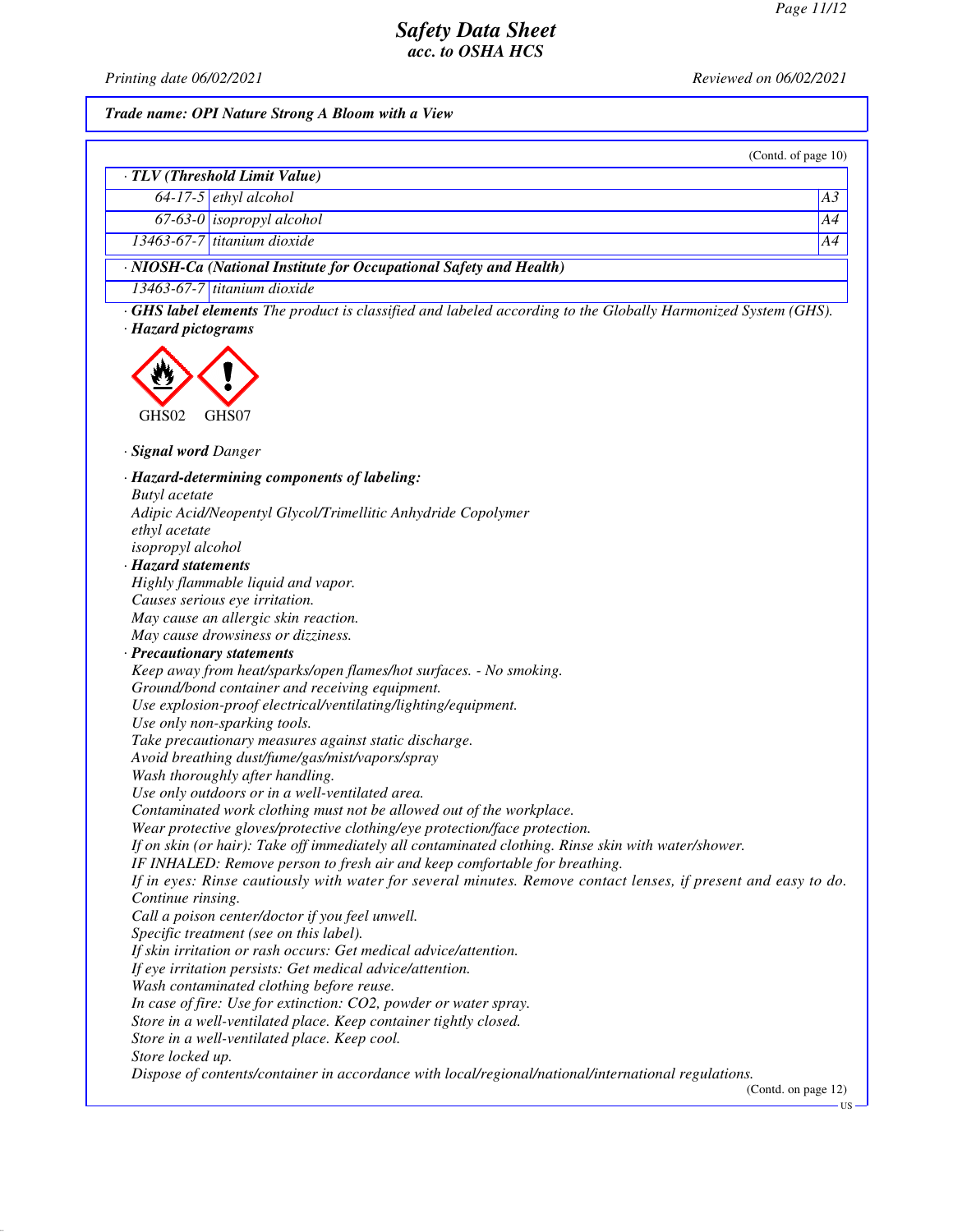*Printing date 06/02/2021 Reviewed on 06/02/2021*

# *Trade name: OPI Nature Strong A Bloom with a View*

|                                                                                                                    | (Contd. of page 10) |
|--------------------------------------------------------------------------------------------------------------------|---------------------|
| · TLV (Threshold Limit Value)                                                                                      |                     |
| $64-17-5$ ethyl alcohol                                                                                            | A <sub>3</sub>      |
| $67-63-0$ isopropyl alcohol                                                                                        | A4                  |
| $13463-67-7$ titanium dioxide                                                                                      | A4                  |
|                                                                                                                    |                     |
| · NIOSH-Ca (National Institute for Occupational Safety and Health)                                                 |                     |
| 13463-67-7 titanium dioxide                                                                                        |                     |
| <b>GHS label elements</b> The product is classified and labeled according to the Globally Harmonized System (GHS). |                     |
| · Hazard pictograms                                                                                                |                     |
|                                                                                                                    |                     |
|                                                                                                                    |                     |
|                                                                                                                    |                     |
| GHS02<br>GHS07                                                                                                     |                     |
|                                                                                                                    |                     |
| · <b>Signal word Danger</b>                                                                                        |                     |
| · Hazard-determining components of labeling:                                                                       |                     |
| <b>Butyl</b> acetate                                                                                               |                     |
| Adipic Acid/Neopentyl Glycol/Trimellitic Anhydride Copolymer                                                       |                     |
| ethyl acetate                                                                                                      |                     |
| isopropyl alcohol                                                                                                  |                     |
| · Hazard statements                                                                                                |                     |
| Highly flammable liquid and vapor.                                                                                 |                     |
| Causes serious eye irritation.                                                                                     |                     |
| May cause an allergic skin reaction.                                                                               |                     |
| May cause drowsiness or dizziness.                                                                                 |                     |
| · Precautionary statements                                                                                         |                     |
| Keep away from heat/sparks/open flames/hot surfaces. - No smoking.                                                 |                     |
| Ground/bond container and receiving equipment.<br>Use explosion-proof electrical/ventilating/lighting/equipment.   |                     |
| Use only non-sparking tools.                                                                                       |                     |
| Take precautionary measures against static discharge.                                                              |                     |
| Avoid breathing dust/fume/gas/mist/vapors/spray                                                                    |                     |
| Wash thoroughly after handling.                                                                                    |                     |
| Use only outdoors or in a well-ventilated area.                                                                    |                     |
| Contaminated work clothing must not be allowed out of the workplace.                                               |                     |
| Wear protective gloves/protective clothing/eye protection/face protection.                                         |                     |
| If on skin (or hair): Take off immediately all contaminated clothing. Rinse skin with water/shower.                |                     |
| IF INHALED: Remove person to fresh air and keep comfortable for breathing.                                         |                     |
| If in eyes: Rinse cautiously with water for several minutes. Remove contact lenses, if present and easy to do.     |                     |
| Continue rinsing.                                                                                                  |                     |
| Call a poison center/doctor if you feel unwell.                                                                    |                     |
| Specific treatment (see on this label).                                                                            |                     |
| If skin irritation or rash occurs: Get medical advice/attention.                                                   |                     |
| If eye irritation persists: Get medical advice/attention.                                                          |                     |
| Wash contaminated clothing before reuse.                                                                           |                     |
| In case of fire: Use for extinction: CO2, powder or water spray.                                                   |                     |
| Store in a well-ventilated place. Keep container tightly closed.                                                   |                     |
| Store in a well-ventilated place. Keep cool.<br>Store locked up.                                                   |                     |
| Dispose of contents/container in accordance with local/regional/national/international regulations.                |                     |
|                                                                                                                    | (Contd. on page 12) |
|                                                                                                                    | ·US·                |